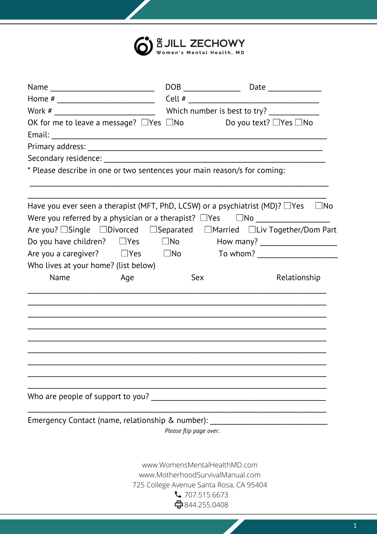

| OK for me to leave a message? $\Box$ Yes $\Box$ No                                                                     |                        | Do you text? □Yes □No                   |                                    |
|------------------------------------------------------------------------------------------------------------------------|------------------------|-----------------------------------------|------------------------------------|
|                                                                                                                        |                        |                                         |                                    |
|                                                                                                                        |                        |                                         |                                    |
|                                                                                                                        |                        |                                         |                                    |
| * Please describe in one or two sentences your main reason/s for coming:                                               |                        |                                         |                                    |
| Have you ever seen a therapist (MFT, PhD, LCSW) or a psychiatrist (MD)? $\Box$ Yes                                     |                        |                                         | $\Box$ No                          |
| Were you referred by a physician or a therapist? $\Box$ Yes $\Box$ No $\Box$ $\Box$ $\Box$ $\Box$ $\Box$ $\Box$ $\Box$ |                        |                                         |                                    |
| Are you? □Single □Divorced □Separated □Married □Liv Together/Dom Part                                                  |                        |                                         |                                    |
| Do you have children? $\Box$ Yes $\Box$ No $\Box$ How many? $\Box$ $\Box$ $\Box$ $\Box$                                |                        |                                         |                                    |
| Are you a caregiver? $\Box$ Yes $\Box$ No                                                                              |                        |                                         | To whom? _________________________ |
| Who lives at your home? (list below)                                                                                   |                        |                                         |                                    |
| Name<br>Age                                                                                                            | Sex                    |                                         | Relationship                       |
|                                                                                                                        |                        |                                         |                                    |
|                                                                                                                        |                        |                                         |                                    |
|                                                                                                                        |                        |                                         |                                    |
|                                                                                                                        |                        |                                         |                                    |
|                                                                                                                        |                        |                                         |                                    |
|                                                                                                                        |                        |                                         |                                    |
|                                                                                                                        |                        |                                         |                                    |
|                                                                                                                        |                        |                                         |                                    |
| Who are people of support to you?                                                                                      |                        |                                         |                                    |
| Emergency Contact (name, relationship & number):                                                                       |                        |                                         |                                    |
|                                                                                                                        | Please flip page over. |                                         |                                    |
|                                                                                                                        |                        | www.WomensMentalHealthMD.com            |                                    |
|                                                                                                                        |                        | www.MotherhoodSurvivalManual.com        |                                    |
|                                                                                                                        |                        | 725 College Avenue Santa Rosa, CA 95404 |                                    |
|                                                                                                                        |                        | $\sqrt{707.515.6673}$                   |                                    |
|                                                                                                                        |                        | ⇔844.255.0408                           |                                    |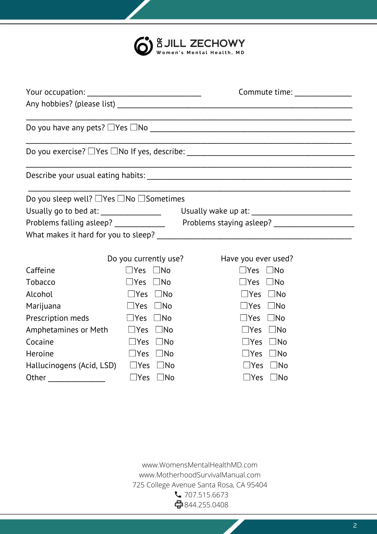| 6 SJILL ZECHOWY |
|-----------------|
|                 |

|                                                          |                            | Commute time: ________________ |
|----------------------------------------------------------|----------------------------|--------------------------------|
|                                                          |                            |                                |
|                                                          |                            |                                |
|                                                          |                            |                                |
| Do you sleep well? $\Box$ Yes $\Box$ No $\Box$ Sometimes |                            |                                |
|                                                          |                            |                                |
|                                                          |                            |                                |
|                                                          |                            |                                |
|                                                          | Do you currently use?      | Have you ever used?            |
| Caffeine                                                 | $\square$ Yes $\square$ No | $\square$ Yes $\square$ No     |
| <b>Tobacco</b>                                           | $\square$ Yes $\square$ No | $\Box$ Yes $\Box$ No           |
| Alcohol                                                  | $\Box$ Yes $\Box$ No       | $\Box$ Yes $\Box$ No           |
| Marijuana                                                | $\square$ Yes $\square$ No | $\Box$ Yes $\Box$ No           |
| Prescription meds                                        | $\Box$ Yes $\Box$ No       | $\Box$ Yes $\Box$ No           |
| Amphetamines or Meth $\Box$ Yes $\Box$ No                |                            | $\Box$ Yes $\Box$ No           |
| Cocaine                                                  | $\Box$ Yes<br>$\Box$ No    | $\square$ Yes $\square$ No     |
| Heroine                                                  | $\Box$ Yes $\Box$ No       | $\Box$ Yes $\Box$ No           |
| Hallucinogens (Acid, LSD) $\Box$ Yes $\Box$ No           |                            | $\square$ Yes $\square$ No     |
| Other                                                    | $\square$ Yes $\square$ No | $\square$ Yes $\square$ No     |

www.WomensMentalHealthMD.com www.MotherhoodSurvivalManual.com 725 College Avenue Santa Rosa, CA 95404 707.515.6673 844.255.0408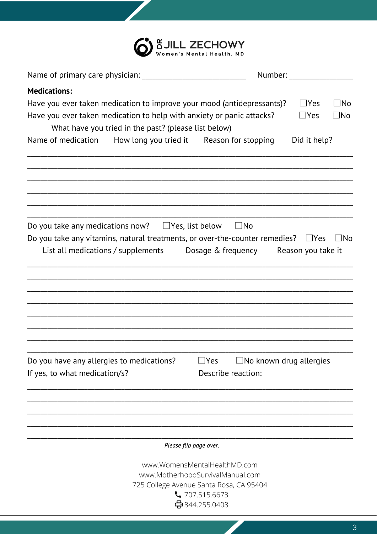

|                                                                                                                                                                                                         | Number: Number:                                                                                                                                       |
|---------------------------------------------------------------------------------------------------------------------------------------------------------------------------------------------------------|-------------------------------------------------------------------------------------------------------------------------------------------------------|
| <b>Medications:</b>                                                                                                                                                                                     |                                                                                                                                                       |
| Have you ever taken medication to improve your mood (antidepressants)?<br>Have you ever taken medication to help with anxiety or panic attacks?<br>What have you tried in the past? (please list below) | $\Box$ No<br>$\sqcup$ Yes<br>$\square$ No<br>$\Box$ Yes                                                                                               |
| Name of medication How long you tried it Reason for stopping                                                                                                                                            | Did it help?                                                                                                                                          |
|                                                                                                                                                                                                         |                                                                                                                                                       |
| Do you take any medications now? $\Box$ Yes, list below<br>Do you take any vitamins, natural treatments, or over-the-counter remedies?                                                                  | $\Box$ No<br>$\Box$ No<br>$\Box$ Yes<br>List all medications / supplements Dosage & frequency Reason you take it                                      |
|                                                                                                                                                                                                         |                                                                                                                                                       |
| Do you have any allergies to medications?<br>If yes, to what medication/s?                                                                                                                              | $\Box$ No known drug allergies<br>_lYes<br>Describe reaction:                                                                                         |
|                                                                                                                                                                                                         |                                                                                                                                                       |
|                                                                                                                                                                                                         | Please flip page over.                                                                                                                                |
|                                                                                                                                                                                                         | www.WomensMentalHealthMD.com<br>www.MotherhoodSurvivalManual.com<br>725 College Avenue Santa Rosa, CA 95404<br>$\sqrt{707.515.6673}$<br>←844.255.0408 |